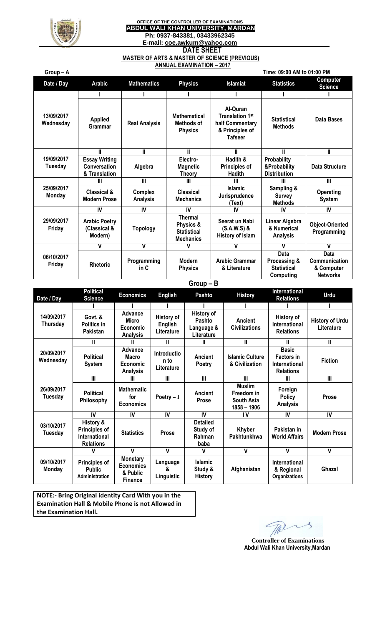

## **OFFICE OF THE CONTROLLER OF EXAMINATIONS ABDUL WALI KHAN UNIVERSITY, MARDAN Ph: 0937-843381, 03433962345 E-mail: [coe.awkum@yahoo.com](mailto:coe.awkum@yahoo.com) DATE SHEET**

## **MASTER OF ARTS & MASTER OF SCIENCE (PREVIOUS) ANNUAL EXAMINATION – 2017**

| Group-A                      |                                                       |                                   |                                                                | Time: 09:00 AM to 01:00 PM                                                          |                                                         |                                                               |  |  |
|------------------------------|-------------------------------------------------------|-----------------------------------|----------------------------------------------------------------|-------------------------------------------------------------------------------------|---------------------------------------------------------|---------------------------------------------------------------|--|--|
| Date / Day                   | <b>Arabic</b>                                         | <b>Mathematics</b>                | <b>Physics</b>                                                 | <b>Islamiat</b>                                                                     | <b>Statistics</b>                                       | Computer<br><b>Science</b>                                    |  |  |
|                              |                                                       |                                   |                                                                |                                                                                     |                                                         |                                                               |  |  |
| 13/09/2017<br>Wednesday      | <b>Applied</b><br>Grammar                             | <b>Real Analysis</b>              | <b>Mathematical</b><br>Methods of<br><b>Physics</b>            | Al-Quran<br><b>Translation 1st</b><br>half Commentary<br>& Principles of<br>Tafseer | <b>Statistical</b><br><b>Methods</b>                    | Data Bases                                                    |  |  |
| 19/09/2017<br><b>Tuesday</b> | Ш                                                     | Ш                                 | Ш                                                              | Ш                                                                                   | Ш                                                       | Ш                                                             |  |  |
|                              | <b>Essay Writing</b><br>Conversation<br>& Translation | Algebra                           | Electro-<br><b>Magnetic</b><br><b>Theory</b>                   | Hadith &<br><b>Principles of</b><br><b>Hadith</b>                                   | Probability<br>&Probability<br><b>Distribution</b>      | Data Structure                                                |  |  |
| 25/09/2017<br><b>Monday</b>  | Ш                                                     | Ш                                 | Ш                                                              | Ш                                                                                   | Ш                                                       | $\mathbf{III}$                                                |  |  |
|                              | <b>Classical &amp;</b><br><b>Modern Prose</b>         | <b>Complex</b><br><b>Analysis</b> | <b>Classical</b><br><b>Mechanics</b>                           | <b>Islamic</b><br>Jurisprudence<br>(Text)                                           | Sampling &<br><b>Survey</b><br><b>Methods</b>           | <b>Operating</b><br><b>System</b>                             |  |  |
| 29/09/2017<br>Friday         | IV                                                    | IV                                | IV                                                             | IV                                                                                  | IV                                                      | IV                                                            |  |  |
|                              | <b>Arabic Poetry</b><br>(Classical &<br>Modern)       | <b>Topology</b>                   | Thermal<br>Physics &<br><b>Statistical</b><br><b>Mechanics</b> | Seerat un Nabi<br>$(S.A.W.S)$ &<br>History of Islam                                 | Linear Algebra<br>& Numerical<br><b>Analysis</b>        | <b>Object-Oriented</b><br>Programming                         |  |  |
| 06/10/2017<br>Friday         | ٧                                                     | $\mathbf v$                       | v                                                              | v                                                                                   | V                                                       | V                                                             |  |  |
|                              | <b>Rhetoric</b>                                       | Programming<br>in C               | <b>Modern</b><br><b>Physics</b>                                | <b>Arabic Grammar</b><br>& Literature                                               | Data<br>Processing &<br><b>Statistical</b><br>Computing | <b>Data</b><br>Communication<br>& Computer<br><b>Networks</b> |  |  |

## **Group – B**

| Date / Day              | <b>Political</b><br><b>Science</b>                              | <b>Economics</b>                                                  | <b>English</b>                             | <b>Pashto</b>                                           | <b>History</b>                                           | International<br><b>Relations</b>                                      | Urdu                                 |
|-------------------------|-----------------------------------------------------------------|-------------------------------------------------------------------|--------------------------------------------|---------------------------------------------------------|----------------------------------------------------------|------------------------------------------------------------------------|--------------------------------------|
|                         |                                                                 |                                                                   |                                            |                                                         |                                                          |                                                                        |                                      |
| 14/09/2017<br>Thursday  | Govt. &<br>Politics in<br>Pakistan                              | Advance<br>Micro<br>Economic<br><b>Analysis</b>                   | History of<br><b>English</b><br>Literature | <b>History of</b><br>Pashto<br>Language &<br>Literature | <b>Ancient</b><br><b>Civilizations</b>                   | <b>History of</b><br>International<br><b>Relations</b>                 | <b>History of Urdu</b><br>Literature |
| 20/09/2017<br>Wednesday | Ш                                                               |                                                                   | Ш                                          | H                                                       | Ш                                                        | Ш                                                                      | Ш                                    |
|                         | <b>Political</b><br><b>System</b>                               | <b>Advance</b><br>Macro<br>Economic<br><b>Analysis</b>            | <b>Introductio</b><br>n to<br>Literature   | Ancient<br>Poetry                                       | <b>Islamic Culture</b><br>& Civilization                 | <b>Basic</b><br><b>Factors in</b><br>International<br><b>Relations</b> | <b>Fiction</b>                       |
| 26/09/2017<br>Tuesday   | Ш                                                               | Ш                                                                 | $\mathbf{III}$                             | $\mathbf{III}$                                          | Ш                                                        | Ш                                                                      | $\mathbf{III}$                       |
|                         | <b>Political</b><br>Philosophy                                  | <b>Mathematic</b><br>for<br><b>Economics</b>                      | Poetry $-I$                                | <b>Ancient</b><br><b>Prose</b>                          | <b>Muslim</b><br>Freedom in<br>South Asia<br>1858 - 1906 | Foreign<br><b>Policy</b><br><b>Analysis</b>                            | <b>Prose</b>                         |
| 03/10/2017<br>Tuesday   | IV                                                              | IV                                                                | IV                                         | IV                                                      | ١V                                                       | IV                                                                     | IV                                   |
|                         | History &<br>Principles of<br>International<br><b>Relations</b> | <b>Statistics</b>                                                 | Prose                                      | <b>Detailed</b><br>Study of<br>Rahman<br>baba           | <b>Khyber</b><br>Pakhtunkhwa                             | Pakistan in<br><b>World Affairs</b>                                    | <b>Modern Prose</b>                  |
| 09/10/2017<br>Monday    | v                                                               | $\mathbf v$                                                       | $\mathbf v$                                | v                                                       | V                                                        | V                                                                      | V                                    |
|                         | Principles of<br><b>Public</b><br>Administration                | <b>Monetary</b><br><b>Economics</b><br>& Public<br><b>Finance</b> | Language<br>&<br>Linguistic                | <b>Islamic</b><br>Study &<br><b>History</b>             | Afghanistan                                              | International<br>& Regional<br><b>Organizations</b>                    | Ghazal                               |

**NOTE:- Bring Original identity Card With you in the Examination Hall & Mobile Phone is not Allowed in the Examination Hall.**

The  $\mathcal{L}_{\mathcal{A}}$ 

 **Controller of Examinations Abdul Wali Khan University,Mardan**